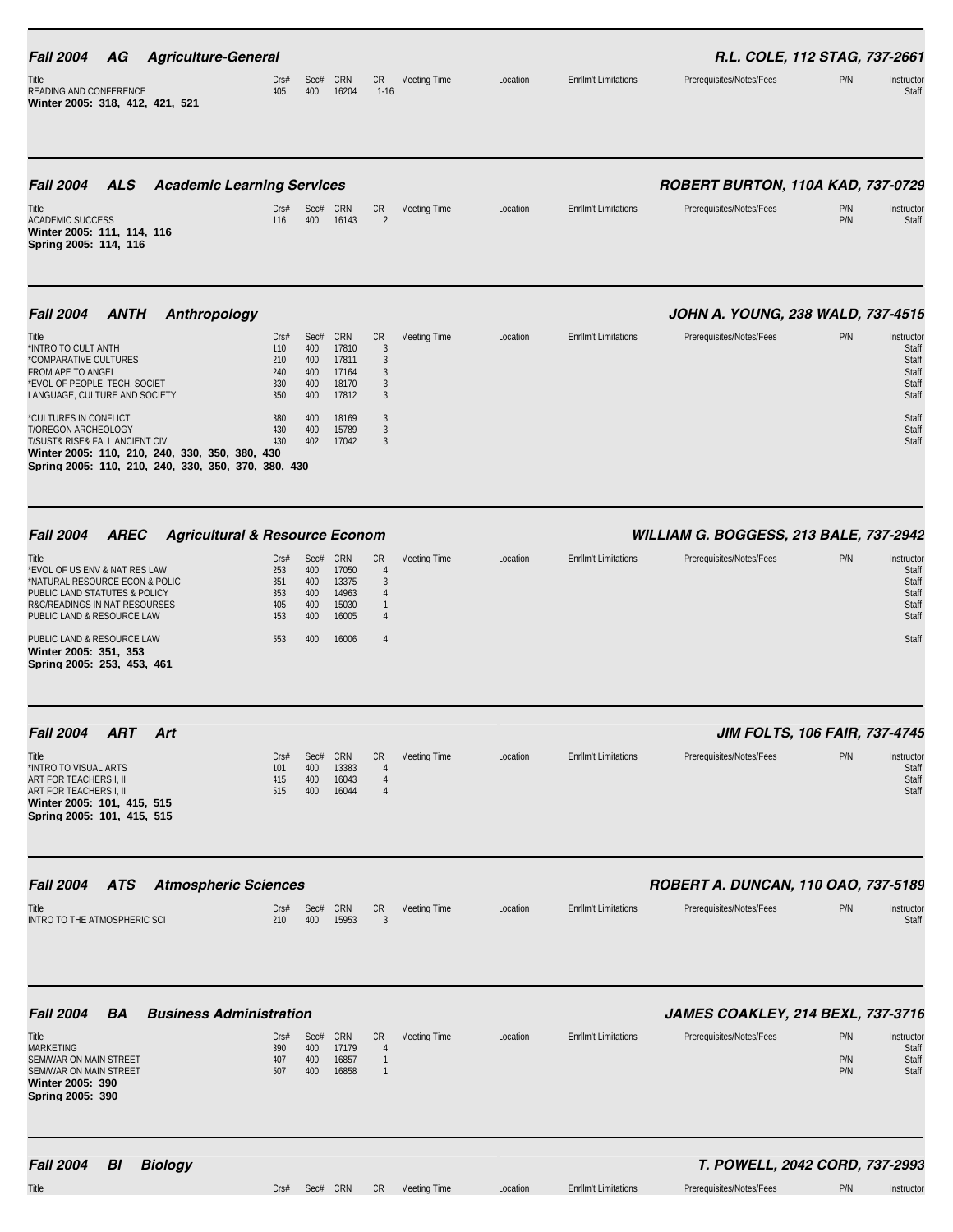| <b>Fall 2004</b><br>AG                                                                                                                                                                  | <b>Agriculture-General</b>                |                                                     |                                         |                                                  |                                                                  |              |          |                             | R.L. COLE, 112 STAG, 737-2661            |                   |                                                         |
|-----------------------------------------------------------------------------------------------------------------------------------------------------------------------------------------|-------------------------------------------|-----------------------------------------------------|-----------------------------------------|--------------------------------------------------|------------------------------------------------------------------|--------------|----------|-----------------------------|------------------------------------------|-------------------|---------------------------------------------------------|
| Title<br>READING AND CONFERENCE<br>Winter 2005: 318, 412, 421, 521                                                                                                                      |                                           | CrS#<br>405                                         | Sec#<br>400                             | CRN<br>16204                                     | CR<br>$1 - 16$                                                   | Meeting Time | Location | <b>Enrllm't Limitations</b> | Prerequisites/Notes/Fees                 | P/N               | Instructor<br>Staff                                     |
| <b>Fall 2004</b><br><b>ALS</b>                                                                                                                                                          | <b>Academic Learning Services</b>         |                                                     |                                         |                                                  |                                                                  |              |          |                             | ROBERT BURTON, 110A KAD, 737-0729        |                   |                                                         |
| Title<br><b>ACADEMIC SUCCESS</b><br>Winter 2005: 111, 114, 116<br>Spring 2005: 114, 116                                                                                                 |                                           | Cr <sub>5#</sub><br>116                             | Sec#<br>400                             | CRN<br>16143                                     | CR<br>$\overline{2}$                                             | Meeting Time | Location | <b>Enrllm't Limitations</b> | Prerequisites/Notes/Fees                 | P/N<br>P/N        | Instructor<br>Staff                                     |
| <b>Fall 2004</b><br><b>ANTH</b>                                                                                                                                                         | Anthropology                              |                                                     |                                         |                                                  |                                                                  |              |          |                             | JOHN A. YOUNG, 238 WALD, 737-4515        |                   |                                                         |
| Title<br>*INTRO TO CULT ANTH<br>*COMPARATIVE CULTURES<br><b>FROM APE TO ANGEL</b><br>*EVOL OF PEOPLE, TECH, SOCIET<br>LANGUAGE, CULTURE AND SOCIETY                                     |                                           | Cr <sub>5#</sub><br>110<br>210<br>240<br>330<br>350 | Sec#<br>400<br>400<br>400<br>400<br>400 | CRN<br>17810<br>17811<br>17164<br>18170<br>17812 | CR<br>3<br>3<br>$\mathbf{3}$<br>3<br>$\mathbf{3}$                | Meeting Time | Location | <b>Enrllm't Limitations</b> | Prerequisites/Notes/Fees                 | P/N               | Instructor<br>Staff<br>Staff<br>Staff<br>Staff<br>Staff |
| *CULTURES IN CONFLICT<br>T/OREGON ARCHEOLOGY<br>T/SUST& RISE& FALL ANCIENT CIV<br>Winter 2005: 110, 210, 240, 330, 350, 380, 430<br>Spring 2005: 110, 210, 240, 330, 350, 370, 380, 430 |                                           | 380<br>430<br>430                                   | 400<br>400<br>402                       | 18169<br>15789<br>17042                          | 3<br>3<br>$\mathbf{3}$                                           |              |          |                             |                                          |                   | Staff<br>Staff<br>Staff                                 |
| <b>Fall 2004</b><br><b>AREC</b>                                                                                                                                                         | <b>Agricultural &amp; Resource Econom</b> |                                                     |                                         |                                                  |                                                                  |              |          |                             | WILLIAM G. BOGGESS, 213 BALE, 737-2942   |                   |                                                         |
| Title<br>*EVOL OF US ENV & NAT RES LAW<br>*NATURAL RESOURCE ECON & POLIC<br>PUBLIC LAND STATUTES & POLICY<br>R&C/READINGS IN NAT RESOURSES<br>PUBLIC LAND & RESOURCE LAW                |                                           | CrS#<br>253<br>351<br>353<br>405<br>453             | Sec#<br>400<br>400<br>400<br>400<br>400 | CRN<br>17050<br>13375<br>14963<br>15030<br>16005 | CR<br>$\overline{4}$<br>3<br>$\overline{4}$<br>$\mathbf{1}$<br>4 | Meeting Time | Location | <b>EnrlIm't Limitations</b> | Prerequisites/Notes/Fees                 | P/N               | Instructor<br>Staff<br>Staff<br>Staff<br>Staff<br>Staff |
| PUBLIC LAND & RESOURCE LAW<br>Winter 2005: 351, 353<br>Spring 2005: 253, 453, 461                                                                                                       |                                           | 553                                                 | 400                                     | 16006                                            | 4                                                                |              |          |                             |                                          |                   | Staff                                                   |
| <b>Fall 2004</b><br><b>ART</b>                                                                                                                                                          | Art                                       |                                                     |                                         |                                                  |                                                                  |              |          |                             | JIM FOLTS, 106 FAIR, 737-4745            |                   |                                                         |
| Title<br>*INTRO TO VISUAL ARTS<br>ART FOR TEACHERS I, II<br>ART FOR TEACHERS I, II<br>Winter 2005: 101, 415, 515<br>Spring 2005: 101, 415, 515                                          |                                           | Cr <sub>5#</sub><br>101<br>415<br>515               | Sec#<br>400<br>400<br>400               | CRN<br>13383<br>16043<br>16044                   | CR<br>$\overline{4}$<br>$\overline{4}$<br>$\overline{4}$         | Meeting Time | Location | <b>Enrllm't Limitations</b> | Prerequisites/Notes/Fees                 | P/N               | Instructor<br>Staff<br>Staff<br>Staff                   |
| <b>Fall 2004</b><br><b>ATS</b>                                                                                                                                                          | <b>Atmospheric Sciences</b>               |                                                     |                                         |                                                  |                                                                  |              |          |                             | ROBERT A. DUNCAN, 110 OAO, 737-5189      |                   |                                                         |
| Title<br>INTRO TO THE ATMOSPHERIC SCI                                                                                                                                                   |                                           | CrS#<br>210                                         | Sec#<br>400                             | CRN<br>15953                                     | CR<br>3                                                          | Meeting Time | Location | <b>EnrlIm't Limitations</b> | Prerequisites/Notes/Fees                 | P/N               | Instructor<br>Staff                                     |
| <b>Fall 2004</b><br>BA                                                                                                                                                                  | <b>Business Administration</b>            |                                                     |                                         |                                                  |                                                                  |              |          |                             | <b>JAMES COAKLEY, 214 BEXL, 737-3716</b> |                   |                                                         |
| Title<br><b>MARKETING</b><br>SEM/WAR ON MAIN STREET<br>SEM/WAR ON MAIN STREET<br>Winter 2005: 390<br>Spring 2005: 390                                                                   |                                           | Cr <sub>5#</sub><br>390<br>407<br>507               | Sec#<br>400<br>400<br>400               | CRN<br>17179<br>16857<br>16858                   | CR<br>$\overline{4}$<br>$\mathbf{1}$<br>$\mathbf{1}$             | Meeting Time | Location | <b>Enrllm't Limitations</b> | Prerequisites/Notes/Fees                 | P/N<br>P/N<br>P/N | Instructor<br>Staff<br>Staff<br>Staff                   |
| <b>Fall 2004</b><br>BI                                                                                                                                                                  | <b>Biology</b>                            |                                                     |                                         |                                                  |                                                                  |              |          |                             | T. POWELL, 2042 CORD, 737-2993           |                   |                                                         |
| Title                                                                                                                                                                                   |                                           | CrS#                                                | Sec# CRN                                |                                                  | CR                                                               | Meeting Time | Location | <b>Enrllm't Limitations</b> | Prerequisites/Notes/Fees                 | P/N               | Instructor                                              |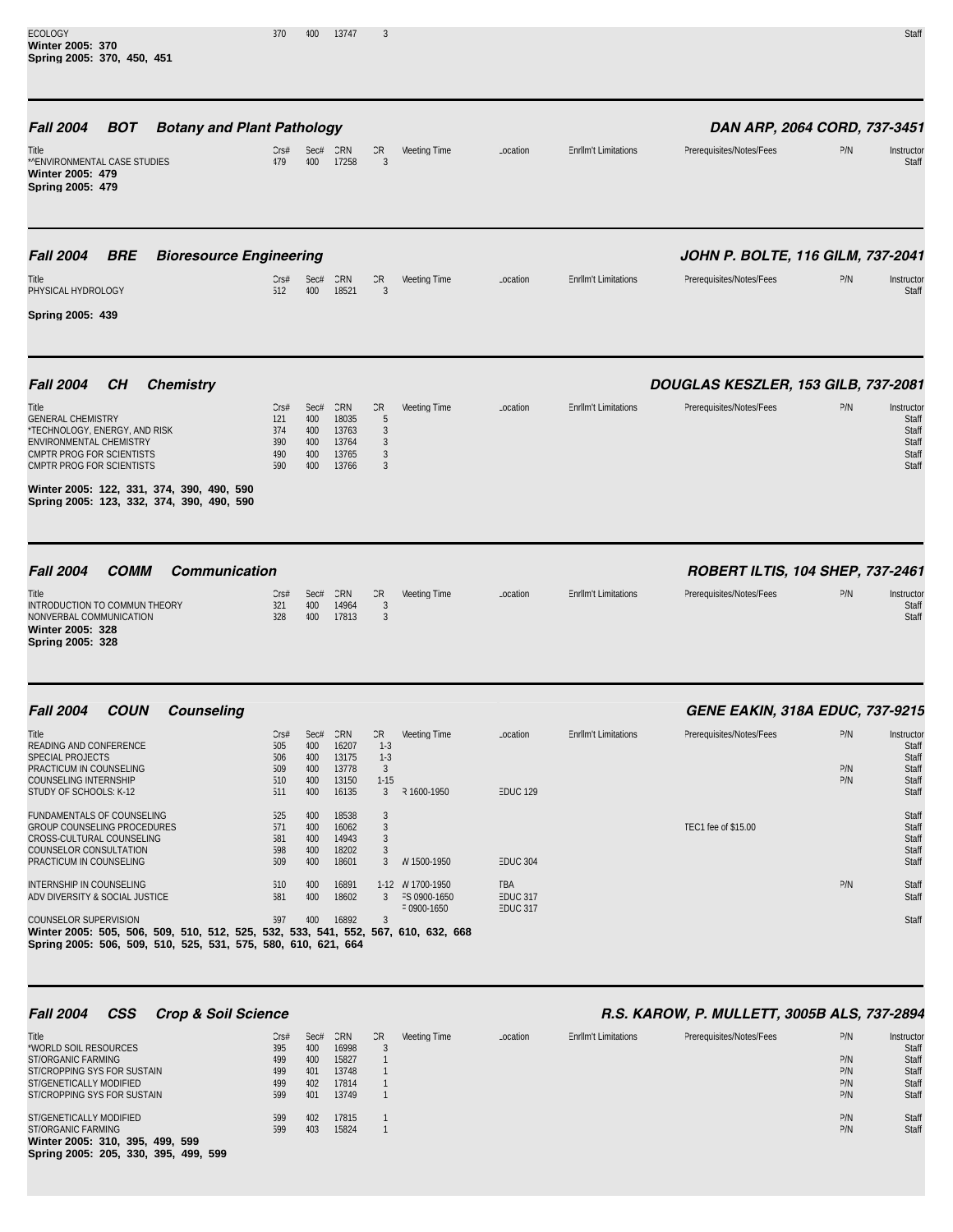| <b>ECOLOGY</b><br>Winter 2005: 370<br>Spring 2005: 370, 450, 451                                                                                                                                                                          | 370                                     | 400                                     | 13747                                            | 3                                                       |                                                 |                                           |                             |                                                                 |                   | Staff                                                   |
|-------------------------------------------------------------------------------------------------------------------------------------------------------------------------------------------------------------------------------------------|-----------------------------------------|-----------------------------------------|--------------------------------------------------|---------------------------------------------------------|-------------------------------------------------|-------------------------------------------|-----------------------------|-----------------------------------------------------------------|-------------------|---------------------------------------------------------|
| <b>BOT</b><br><b>Botany and Plant Pathology</b><br><b>Fall 2004</b><br>Title<br>*^ENVIRONMENTAL CASE STUDIES<br>Winter 2005: 479<br>Spring 2005: 479                                                                                      | CrS#<br>479                             | 400                                     | Sec# CRN<br>17258                                | CR<br>3                                                 | Meeting Time                                    | Location                                  | <b>Enrllm't Limitations</b> | DAN ARP, 2064 CORD, 737-3451<br>Prerequisites/Notes/Fees        | P/N               | Instructor<br>Staff                                     |
| <b>Fall 2004</b><br><b>BRE</b><br><b>Bioresource Engineering</b><br>Title<br>PHYSICAL HYDROLOGY<br>Spring 2005: 439                                                                                                                       | CrS#<br>512                             | Sec#<br>400                             | CRN<br>18521                                     | CR<br>$\mathbf{3}$                                      | Meeting Time                                    | Location                                  | <b>Enrllm't Limitations</b> | JOHN P. BOLTE, 116 GILM, 737-2041<br>Prerequisites/Notes/Fees   | P/N               | Instructor<br>Staff                                     |
| <b>Fall 2004</b><br><b>Chemistry</b><br>CН<br>Title<br><b>GENERAL CHEMISTRY</b><br>*TECHNOLOGY, ENERGY, AND RISK<br>ENVIRONMENTAL CHEMISTRY                                                                                               | CrS#<br>121<br>374<br>390               | Sec#<br>400<br>400<br>400               | CRN<br>18035<br>13763<br>13764                   | CR<br>5<br>$\mathbf{3}$<br>3                            | Meeting Time                                    | Location                                  | <b>EnrlIm't Limitations</b> | DOUGLAS KESZLER, 153 GILB, 737-2081<br>Prerequisites/Notes/Fees | P/N               | Instructor<br>Staff<br>Staff<br>Staff                   |
| CMPTR PROG FOR SCIENTISTS<br>CMPTR PROG FOR SCIENTISTS<br>Winter 2005: 122, 331, 374, 390, 490, 590<br>Spring 2005: 123, 332, 374, 390, 490, 590                                                                                          | 490<br>590                              | 400<br>400                              | 13765<br>13766                                   | 3<br>3                                                  |                                                 |                                           |                             |                                                                 |                   | Staff<br>Staff                                          |
| <b>Fall 2004</b><br><b>COMM</b><br><b>Communication</b><br>Title<br>INTRODUCTION TO COMMUN THEORY<br>NONVERBAL COMMUNICATION<br>Winter 2005: 328<br>Spring 2005: 328                                                                      | Cr <sub>5#</sub><br>321<br>328          | Sec#<br>400<br>400                      | CRN<br>14964<br>17813                            | CR<br>3<br>3                                            | Meeting Time                                    | Location                                  | <b>EnrlIm't Limitations</b> | ROBERT ILTIS, 104 SHEP, 737-2461<br>Prerequisites/Notes/Fees    | P/N               | Instructor<br>Staff<br>Staff                            |
| <b>Fall 2004</b><br><b>COUN</b><br>Counseling                                                                                                                                                                                             |                                         |                                         |                                                  |                                                         |                                                 |                                           |                             | <b>GENE EAKIN, 318A EDUC, 737-9215</b>                          |                   |                                                         |
| Title<br>READING AND CONFERENCE<br>SPECIAL PROJECTS<br>PRACTICUM IN COUNSELING<br><b>COUNSELING INTERNSHIP</b><br>STUDY OF SCHOOLS: K-12                                                                                                  | CrS#<br>505<br>506<br>509<br>510<br>511 | Sec#<br>400<br>400<br>400<br>400<br>400 | CRN<br>16207<br>13175<br>13778<br>13150<br>16135 | CR<br>$1-3$<br>$1-3$<br>$\overline{3}$<br>$1 - 15$<br>3 | Meeting Time<br>R 1600-1950                     | Location<br><b>EDUC 129</b>               | <b>EnrlIm't Limitations</b> | Prerequisites/Notes/Fees                                        | P/N<br>P/N<br>P/N | Instructor<br>Staff<br>Staff<br>Staff<br>Staff<br>Staff |
| FUNDAMENTALS OF COUNSELING<br><b>GROUP COUNSELING PROCEDURES</b><br>CROSS-CULTURAL COUNSELING<br>COUNSELOR CONSULTATION<br>PRACTICUM IN COUNSELING                                                                                        | 525<br>571<br>581<br>598<br>509         | 400<br>400<br>400<br>400<br>400         | 18538<br>16062<br>14943<br>18202<br>18601        | 3<br>3<br>3<br>3<br>3                                   | W 1500-1950                                     | <b>EDUC 304</b>                           |                             | TEC1 fee of \$15.00                                             |                   | Staff<br>Staff<br>Staff<br>Staff<br>Staff               |
| INTERNSHIP IN COUNSELING<br>ADV DIVERSITY & SOCIAL JUSTICE<br>COUNSELOR SUPERVISION<br>Winter 2005: 505, 506, 509, 510, 512, 525, 532, 533, 541, 552, 567, 610, 632, 668<br>Spring 2005: 506, 509, 510, 525, 531, 575, 580, 610, 621, 664 | 510<br>581<br>597                       | 400<br>400<br>400                       | 16891<br>18602<br>16892                          | 3<br>3                                                  | 1-12 W 1700-1950<br>FS 0900-1650<br>F 0900-1650 | TBA<br><b>EDUC 317</b><br><b>EDUC 317</b> |                             |                                                                 | P/N               | Staff<br>Staff<br>Staff                                 |

## *Fall 2004 CSS Crop & Soil Science R.S. KAROW, P. MULLETT, 3005B ALS, 737-2894*

| Title<br>*WORLD SOIL RESOURCES                                          | Cr <sub>5#</sub><br>395 | Sec#<br>400 | CRN<br>16998   | CR | Meeting Time | Location | <b>Enrllm't Limitations</b> | Prerequisites/Notes/Fees | P/N        | Instructor<br>Staff |
|-------------------------------------------------------------------------|-------------------------|-------------|----------------|----|--------------|----------|-----------------------------|--------------------------|------------|---------------------|
| ST/ORGANIC FARMING                                                      | 499                     | 400         | 15827          |    |              |          |                             |                          | P/N        | Staff               |
| ST/CROPPING SYS FOR SUSTAIN                                             | 499                     | 401         | 13748          |    |              |          |                             |                          | P/N        | Staff               |
| ST/GENETICALLY MODIFIED                                                 | 499                     | 402         | 17814          |    |              |          |                             |                          | P/N        | Staff               |
| ST/CROPPING SYS FOR SUSTAIN                                             | 599                     | 401         | 13749          |    |              |          |                             |                          | P/N        | Staff               |
| ST/GENETICALLY MODIFIED<br>ST/ORGANIC FARMING                           | 599<br>599              | 402<br>403  | 17815<br>15824 |    |              |          |                             |                          | P/N<br>P/N | Staff<br>Staff      |
| Winter 2005: 310, 395, 499, 599<br>Spring 2005: 205, 330, 395, 499, 599 |                         |             |                |    |              |          |                             |                          |            |                     |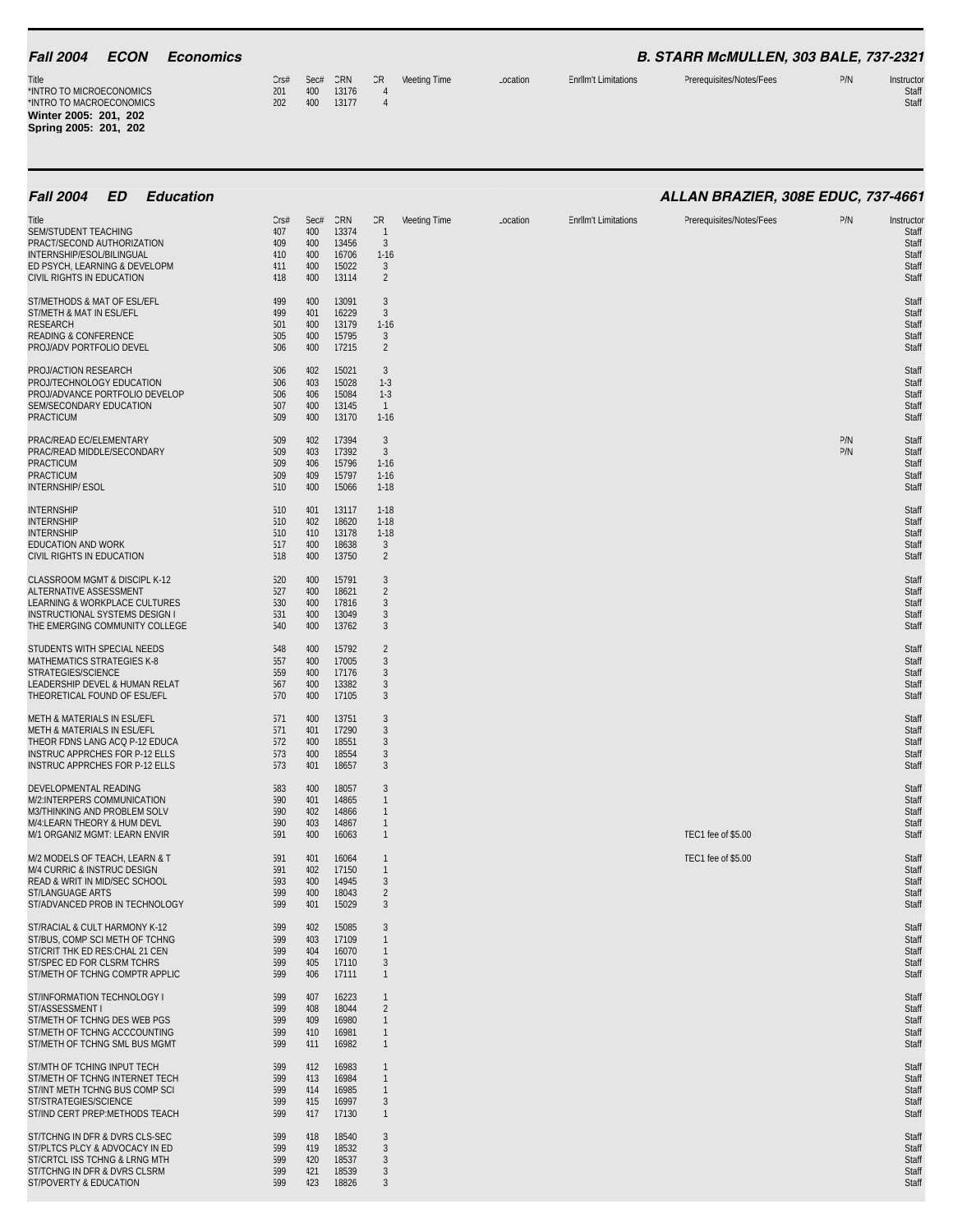| <b>Fall 2004</b><br><b>ECON</b><br><b>Economics</b>                                                                                                                            |                                                     |                                         |                                                  |                                                                           |              |          |                             | B. STARR McMULLEN, 303 BALE, 737-2321 |            |                                                         |
|--------------------------------------------------------------------------------------------------------------------------------------------------------------------------------|-----------------------------------------------------|-----------------------------------------|--------------------------------------------------|---------------------------------------------------------------------------|--------------|----------|-----------------------------|---------------------------------------|------------|---------------------------------------------------------|
| Title<br>*INTRO TO MICROECONOMICS<br>*INTRO TO MACROECONOMICS<br>Winter 2005: 201, 202<br>Spring 2005: 201, 202                                                                | CrS#<br>201<br>202                                  | Sec#<br>400<br>400                      | CRN<br>13176<br>13177                            | CR<br>$\overline{4}$<br>$\overline{4}$                                    | Meeting Time | Location | <b>Enrllm't Limitations</b> | Prerequisites/Notes/Fees              | P/N        | Instructor<br>Staff<br>Staff                            |
| <b>ED</b><br><b>Education</b><br><b>Fall 2004</b>                                                                                                                              |                                                     |                                         |                                                  |                                                                           |              |          |                             | ALLAN BRAZIER, 308E EDUC, 737-4661    |            |                                                         |
| Title<br>SEM/STUDENT TEACHING<br>PRACT/SECOND AUTHORIZATION<br>INTERNSHIP/ESOL/BILINGUAL<br>ED PSYCH, LEARNING & DEVELOPM<br>CIVIL RIGHTS IN EDUCATION                         | Cr <sub>5#</sub><br>407<br>409<br>410<br>411<br>418 | Sec#<br>400<br>400<br>400<br>400<br>400 | CRN<br>13374<br>13456<br>16706<br>15022<br>13114 | CR<br>$\overline{1}$<br>$\overline{3}$<br>$1 - 16$<br>3<br>$\overline{2}$ | Meeting Time | Location | <b>Enrllm't Limitations</b> | Prerequisites/Notes/Fees              | P/N        | Instructor<br>Staff<br>Staff<br>Staff<br>Staff<br>Staff |
| ST/METHODS & MAT OF ESL/EFL<br>ST/METH & MAT IN ESL/EFL<br><b>RESEARCH</b><br><b>READING &amp; CONFERENCE</b><br>PROJ/ADV PORTFOLIO DEVEL                                      | 499<br>499<br>501<br>505<br>506                     | 400<br>401<br>400<br>400<br>400         | 13091<br>16229<br>13179<br>15795<br>17215        | 3<br>3<br>$1 - 16$<br>3<br>$\overline{2}$                                 |              |          |                             |                                       |            | Staff<br>Staff<br>Staff<br>Staff<br>Staff               |
| PROJ/ACTION RESEARCH<br>PROJ/TECHNOLOGY EDUCATION<br>PROJ/ADVANCE PORTFOLIO DEVELOP<br>SEM/SECONDARY EDUCATION<br><b>PRACTICUM</b>                                             | 506<br>506<br>506<br>507<br>509                     | 402<br>403<br>406<br>400<br>400         | 15021<br>15028<br>15084<br>13145<br>13170        | 3<br>$1-3$<br>$1-3$<br>$\overline{1}$<br>$1 - 16$                         |              |          |                             |                                       |            | Staff<br>Staff<br>Staff<br>Staff<br>Staff               |
| PRAC/READ EC/ELEMENTARY<br>PRAC/READ MIDDLE/SECONDARY<br><b>PRACTICUM</b><br><b>PRACTICUM</b><br><b>INTERNSHIP/ESOL</b>                                                        | 509<br>509<br>509<br>509<br>510                     | 402<br>403<br>406<br>409<br>400         | 17394<br>17392<br>15796<br>15797<br>15066        | 3<br>3<br>$1 - 16$<br>$1 - 16$<br>$1 - 18$                                |              |          |                             |                                       | P/N<br>P/N | Staff<br>Staff<br>Staff<br>Staff<br>Staff               |
| <b>INTERNSHIP</b><br><b>INTERNSHIP</b><br><b>INTERNSHIP</b><br>EDUCATION AND WORK<br>CIVIL RIGHTS IN EDUCATION                                                                 | 510<br>510<br>510<br>517<br>518                     | 401<br>402<br>410<br>400<br>400         | 13117<br>18620<br>13178<br>18638<br>13750        | $1 - 18$<br>$1-18$<br>$1-18$<br>3<br>2                                    |              |          |                             |                                       |            | Staff<br>Staff<br>Staff<br>Staff<br>Staff               |
| CLASSROOM MGMT & DISCIPL K-12<br>ALTERNATIVE ASSESSMENT<br>LEARNING & WORKPLACE CULTURES<br>INSTRUCTIONAL SYSTEMS DESIGN I<br>THE EMERGING COMMUNITY COLLEGE                   | 520<br>527<br>530<br>531<br>540                     | 400<br>400<br>400<br>400<br>400         | 15791<br>18621<br>17816<br>13049<br>13762        | 3<br>2<br>3<br>3<br>3                                                     |              |          |                             |                                       |            | Staff<br>Staff<br>Staff<br>Staff<br>Staff               |
| STUDENTS WITH SPECIAL NEEDS<br>MATHEMATICS STRATEGIES K-8<br>STRATEGIES/SCIENCE<br>LEADERSHIP DEVEL & HUMAN RELAT<br>THEORETICAL FOUND OF ESL/EFL                              | 548<br>557<br>559<br>567<br>570                     | 400<br>400<br>400<br>400<br>400         | 15792<br>17005<br>17176<br>13382<br>17105        | 2<br>3<br>3<br>3<br>$\mathbf{3}$                                          |              |          |                             |                                       |            | Staff<br>Staff<br>Staff<br>Staff<br>Staff               |
| METH & MATERIALS IN ESL/EFL<br>METH & MATERIALS IN ESL/EFL<br>THEOR FDNS LANG ACQ P-12 EDUCA<br><b>INSTRUC APPRCHES FOR P-12 ELLS</b><br><b>INSTRUC APPRCHES FOR P-12 ELLS</b> | 571<br>571<br>572<br>573<br>573                     | 400<br>401<br>400<br>400<br>401         | 13751<br>17290<br>18551<br>18554<br>18657        | 3<br>3<br>3<br>3<br>3                                                     |              |          |                             |                                       |            | Staff<br>Staff<br>Staff<br>Staff<br>Staff               |
| DEVELOPMENTAL READING<br>M/2:INTERPERS COMMUNICATION<br>M3/THINKING AND PROBLEM SOLV<br>M/4:LEARN THEORY & HUM DEVL<br>M/1 ORGANIZ MGMT: LEARN ENVIR                           | 583<br>590<br>590<br>590<br>591                     | 400<br>401<br>402<br>403<br>400         | 18057<br>14865<br>14866<br>14867<br>16063        | 3<br>$\mathbf{1}$<br>$\overline{1}$<br>$\mathbf{1}$<br>$\mathbf{1}$       |              |          |                             | TEC1 fee of \$5.00                    |            | Staff<br>Staff<br>Staff<br>Staff<br>Staff               |
| M/2 MODELS OF TEACH, LEARN & T<br>M/4 CURRIC & INSTRUC DESIGN<br>READ & WRIT IN MID/SEC SCHOOL<br>ST/LANGUAGE ARTS<br>ST/ADVANCED PROB IN TECHNOLOGY                           | 591<br>591<br>593<br>599<br>599                     | 401<br>402<br>400<br>400<br>401         | 16064<br>17150<br>14945<br>18043<br>15029        | -1<br>$\overline{1}$<br>3<br>$\overline{2}$<br>3                          |              |          |                             | TEC1 fee of \$5.00                    |            | Staff<br>Staff<br>Staff<br>Staff<br>Staff               |
| ST/RACIAL & CULT HARMONY K-12<br>ST/BUS, COMP SCI METH OF TCHNG<br>ST/CRIT THK ED RES: CHAL 21 CEN<br>ST/SPEC ED FOR CLSRM TCHRS<br>ST/METH OF TCHNG COMPTR APPLIC             | 599<br>599<br>599<br>599<br>599                     | 402<br>403<br>404<br>405<br>406         | 15085<br>17109<br>16070<br>17110<br>17111        | 3<br>$\overline{1}$<br>$\overline{1}$<br>3<br>$\mathbf{1}$                |              |          |                             |                                       |            | Staff<br>Staff<br>Staff<br>Staff<br>Staff               |
| ST/INFORMATION TECHNOLOGY I<br>ST/ASSESSMENT I<br>ST/METH OF TCHNG DES WEB PGS<br>ST/METH OF TCHNG ACCCOUNTING<br>ST/METH OF TCHNG SML BUS MGMT                                | 599<br>599<br>599<br>599<br>599                     | 407<br>408<br>409<br>410<br>411         | 16223<br>18044<br>16980<br>16981<br>16982        | $\mathbf{1}$<br>2<br>$\overline{1}$<br>$\overline{1}$<br>$\mathbf{1}$     |              |          |                             |                                       |            | Staff<br>Staff<br>Staff<br>Staff<br>Staff               |
| ST/MTH OF TCHING INPUT TECH<br>ST/METH OF TCHNG INTERNET TECH<br>ST/INT METH TCHNG BUS COMP SCI<br>ST/STRATEGIES/SCIENCE<br>ST/IND CERT PREP:METHODS TEACH                     | 599<br>599<br>599<br>599<br>599                     | 412<br>413<br>414<br>415<br>417         | 16983<br>16984<br>16985<br>16997<br>17130        | -1<br>$\overline{1}$<br>$\mathbf{1}$<br>3<br>$\mathbf{1}$                 |              |          |                             |                                       |            | Staff<br>Staff<br>Staff<br>Staff<br>Staff               |
| ST/TCHNG IN DFR & DVRS CLS-SEC<br>ST/PLTCS PLCY & ADVOCACY IN ED<br>ST/CRTCL ISS TCHNG & LRNG MTH<br>ST/TCHNG IN DFR & DVRS CLSRM<br>ST/POVERTY & EDUCATION                    | 599<br>599<br>599<br>599<br>599                     | 418<br>419<br>420<br>421<br>423         | 18540<br>18532<br>18537<br>18539<br>18826        | 3<br>3<br>3<br>3<br>3                                                     |              |          |                             |                                       |            | Staff<br>Staff<br>Staff<br>Staff<br>Staff               |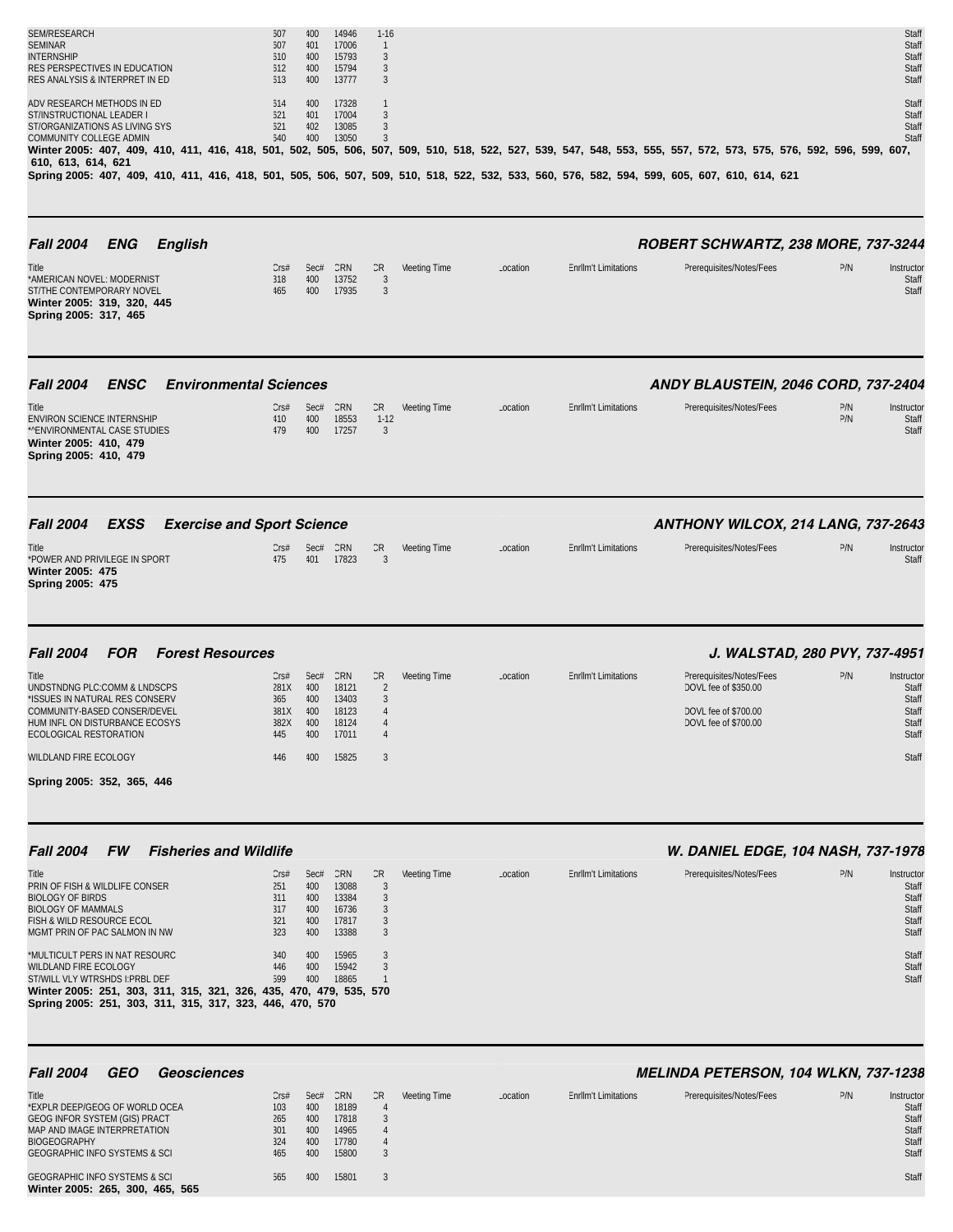| SEM/RESEARCH<br><b>SEMINAR</b><br><b>INTERNSHIP</b><br>RES PERSPECTIVES IN EDUCATION<br>RES ANALYSIS & INTERPRET IN ED                                                                                                                                                                                                                                                                                                                                            | 507<br>507<br>510<br>512<br>513                                          | 400<br>401<br>400<br>400<br>400                              | 14946<br>17006<br>15793<br>15794<br>13777                                   | $1 - 16$<br>$\overline{1}$<br>3<br>3<br>3                               |                     |          |                             |                                                                                                                                   |            | Staff<br>Staff<br>Staff<br>Staff<br>Staff                                          |
|-------------------------------------------------------------------------------------------------------------------------------------------------------------------------------------------------------------------------------------------------------------------------------------------------------------------------------------------------------------------------------------------------------------------------------------------------------------------|--------------------------------------------------------------------------|--------------------------------------------------------------|-----------------------------------------------------------------------------|-------------------------------------------------------------------------|---------------------|----------|-----------------------------|-----------------------------------------------------------------------------------------------------------------------------------|------------|------------------------------------------------------------------------------------|
| ADV RESEARCH METHODS IN ED<br>ST/INSTRUCTIONAL LEADER I<br>ST/ORGANIZATIONS AS LIVING SYS<br>COMMUNITY COLLEGE ADMIN<br>Winter 2005: 407, 409, 410, 411, 416, 418, 501, 502, 505, 506, 507, 509, 510, 518, 522, 527, 539, 547, 548, 553, 555, 557, 572, 573, 575, 576, 592, 596, 599, 607,<br>610, 613, 614, 621<br>Spring 2005: 407, 409, 410, 411, 416, 418, 501, 505, 506, 507, 509, 510, 518, 522, 532, 533, 560, 576, 582, 594, 599, 605, 607, 610, 614, 621 | 514<br>521<br>521<br>540                                                 | 400<br>401<br>402<br>400                                     | 17328<br>17004<br>13085<br>13050                                            | $\mathbf{1}$<br>3<br>3<br>3                                             |                     |          |                             |                                                                                                                                   |            | Staff<br>Staff<br>Staff<br>Staff                                                   |
| <b>Fall 2004</b><br>ENG<br><b>English</b><br>Title<br>*AMERICAN NOVEL: MODERNIST<br>ST/THE CONTEMPORARY NOVEL<br>Winter 2005: 319, 320, 445<br>Spring 2005: 317, 465                                                                                                                                                                                                                                                                                              | Cr <sub>5#</sub><br>318<br>465                                           | Sec#<br>400<br>400                                           | CRN<br>13752<br>17935                                                       | CR<br>$\mathbf{3}$<br>$\mathbf{3}$                                      | Meeting Time        | Location | <b>Enrllm't Limitations</b> | ROBERT SCHWARTZ, 238 MORE, 737-3244<br>Prerequisites/Notes/Fees                                                                   | P/N        | Instructor<br>Staff<br>Staff                                                       |
| <b>Fall 2004</b><br><b>ENSC</b><br><b>Environmental Sciences</b><br>Title<br>ENVIRON SCIENCE INTERNSHIP<br>*^ENVIRONMENTAL CASE STUDIES<br>Winter 2005: 410, 479<br>Spring 2005: 410, 479                                                                                                                                                                                                                                                                         | Cr <sub>5#</sub><br>410<br>479                                           | Sec#<br>400<br>400                                           | CRN<br>18553<br>17257                                                       | CR<br>$1 - 12$<br>3                                                     | <b>Meeting Time</b> | Location | <b>Enrllm't Limitations</b> | ANDY BLAUSTEIN, 2046 CORD, 737-2404<br>Prerequisites/Notes/Fees                                                                   | P/N<br>P/N | Instructor<br>Staff<br>Staff                                                       |
| <b>Fall 2004</b><br><b>EXSS</b><br><b>Exercise and Sport Science</b><br>Title<br>*POWER AND PRIVILEGE IN SPORT<br>Winter 2005: 475<br>Spring 2005: 475                                                                                                                                                                                                                                                                                                            | Cr <sub>5#</sub><br>475                                                  | Sec#<br>401                                                  | CRN<br>17823                                                                | CR<br>3                                                                 | Meeting Time        | Location | <b>Enrllm't Limitations</b> | ANTHONY WILCOX, 214 LANG, 737-2643<br>Prerequisites/Notes/Fees                                                                    | P/N        | Instructor<br>Staff                                                                |
| <b>FOR</b><br><b>Fall 2004</b><br><b>Forest Resources</b><br>Title<br>UNDSTNDNG PLC:COMM & LNDSCPS<br>*ISSUES IN NATURAL RES CONSERV<br>COMMUNITY-BASED CONSER/DEVEL<br>HUM INFL ON DISTURBANCE ECOSYS<br>ECOLOGICAL RESTORATION<br>WILDLAND FIRE ECOLOGY<br>Spring 2005: 352, 365, 446                                                                                                                                                                           | Cr <sub>5#</sub><br>281X<br>365<br>381X<br>382X<br>445<br>446            | Sec#<br>400<br>400<br>400<br>400<br>400<br>400               | CRN<br>18121<br>13403<br>18123<br>18124<br>17011<br>15825                   | CR<br>$\overline{2}$<br>3<br>$\overline{4}$<br>$\overline{4}$<br>3      | Meeting Time        | Location | <b>Enrllm't Limitations</b> | J. WALSTAD, 280 PVY, 737-4951<br>Prerequisites/Notes/Fees<br>DOVL fee of \$350.00<br>DOVL fee of \$700.00<br>DOVL fee of \$700.00 | P/N        | Instructor<br>Staff<br>Staff<br>Staff<br>Staff<br>Staff<br>Staff                   |
| <b>Fall 2004</b><br><b>FW</b><br><b>Fisheries and Wildlife</b><br>Title<br>PRIN OF FISH & WILDLIFE CONSER<br><b>BIOLOGY OF BIRDS</b><br><b>BIOLOGY OF MAMMALS</b><br>FISH & WILD RESOURCE ECOL<br>MGMT PRIN OF PAC SALMON IN NW<br>*MULTICULT PERS IN NAT RESOURC<br>WILDLAND FIRE ECOLOGY<br>ST/WILL VLY WTRSHDS I: PRBL DEF<br>Winter 2005: 251, 303, 311, 315, 321, 326, 435, 470, 479, 535, 570<br>Spring 2005: 251, 303, 311, 315, 317, 323, 446, 470, 570   | Cr <sub>5#</sub><br>251<br>311<br>317<br>321<br>323<br>340<br>446<br>599 | Sec#<br>400<br>400<br>400<br>400<br>400<br>400<br>400<br>400 | CRN<br>13088<br>13384<br>16736<br>17817<br>13388<br>15965<br>15942<br>18865 | CR<br>3<br>3<br>3<br>3<br>3<br>3<br>3<br>$\mathbf{1}$                   | <b>Meeting Time</b> | Location | <b>Enrllm't Limitations</b> | W. DANIEL EDGE, 104 NASH, 737-1978<br>Prerequisites/Notes/Fees                                                                    | P/N        | Instructor<br>Staff<br>Staff<br>Staff<br>Staff<br>Staff<br>Staff<br>Staff<br>Staff |
| <b>Fall 2004</b><br><b>GEO</b><br><b>Geosciences</b><br>Title<br>*EXPLR DEEP/GEOG OF WORLD OCEA<br><b>GEOG INFOR SYSTEM (GIS) PRACT</b><br>MAP AND IMAGE INTERPRETATION<br><b>BIOGEOGRAPHY</b><br><b>GEOGRAPHIC INFO SYSTEMS &amp; SCI</b><br><b>GEOGRAPHIC INFO SYSTEMS &amp; SCI</b><br>Winter 2005: 265, 300, 465, 565                                                                                                                                         | Cr <sub>5#</sub><br>103<br>265<br>301<br>324<br>465<br>565               | Sec#<br>400<br>400<br>400<br>400<br>400<br>400               | CRN<br>18189<br>17818<br>14965<br>17780<br>15800<br>15801                   | CR<br>$\overline{4}$<br>3<br>$\overline{4}$<br>$\overline{4}$<br>3<br>3 | Meeting Time        | Location | <b>Enrllm't Limitations</b> | <b>MELINDA PETERSON, 104 WLKN, 737-1238</b><br>Prerequisites/Notes/Fees                                                           | P/N        | Instructor<br>Staff<br>Staff<br>Staff<br>Staff<br>Staff<br>Staff                   |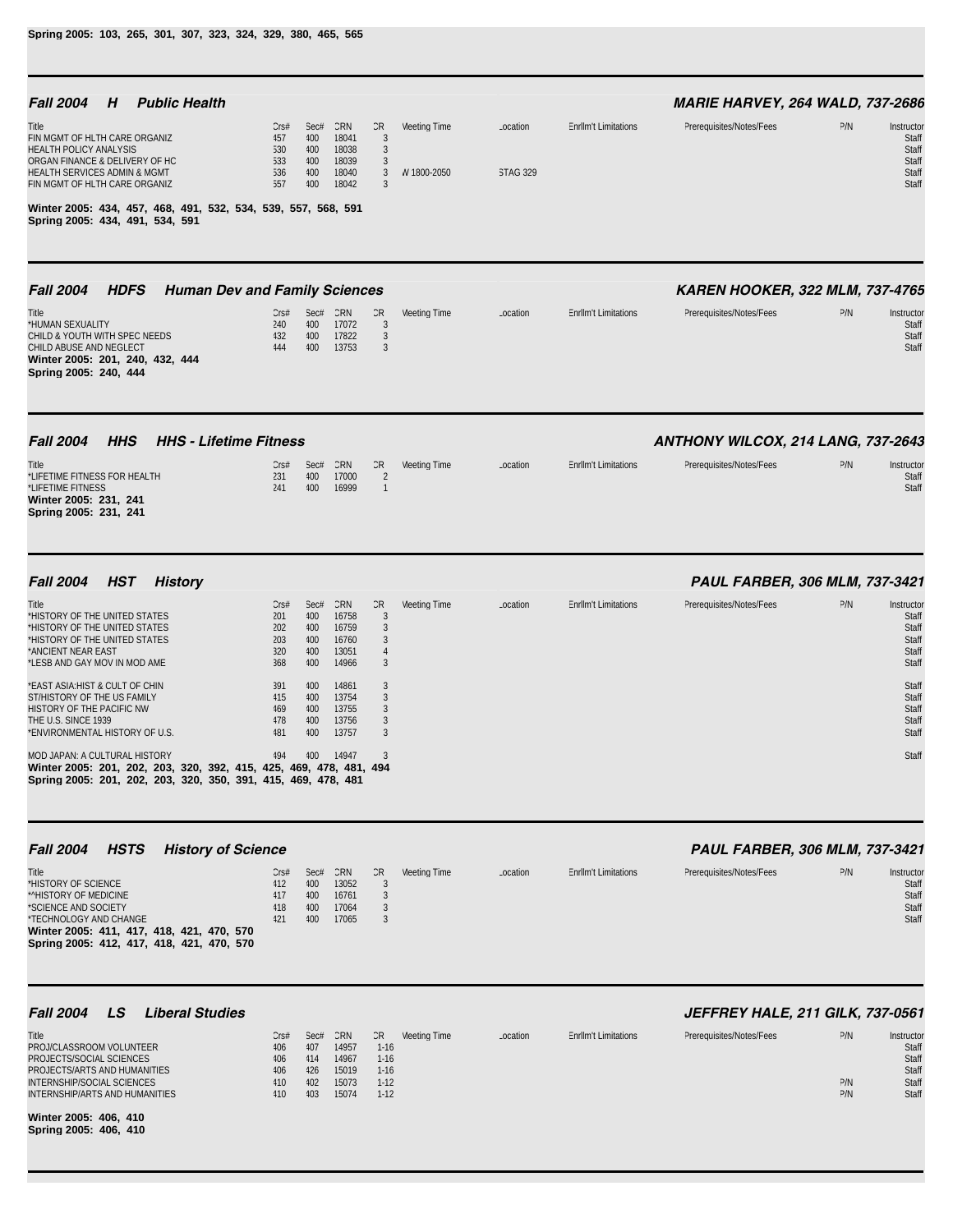| <b>Fall 2004</b><br><b>Public Health</b><br>H                                                                                                                                                     |                                                     |                                         |                                                  |                                                                    |              |                 |                             | <b>MARIE HARVEY, 264 WALD, 737-2686</b> |            |                                                         |
|---------------------------------------------------------------------------------------------------------------------------------------------------------------------------------------------------|-----------------------------------------------------|-----------------------------------------|--------------------------------------------------|--------------------------------------------------------------------|--------------|-----------------|-----------------------------|-----------------------------------------|------------|---------------------------------------------------------|
| Title<br>FIN MGMT OF HLTH CARE ORGANIZ<br><b>HEALTH POLICY ANALYSIS</b>                                                                                                                           | Cr <sub>5#</sub><br>457<br>530                      | Sec#<br>400<br>400                      | CRN<br>18041<br>18038                            | CR<br>3<br>$\mathfrak{Z}$                                          | Meeting Time | Location        | <b>EnrlIm't Limitations</b> | Prerequisites/Notes/Fees                | P/N        | Instructor<br>Staff<br>Staff                            |
| ORGAN FINANCE & DELIVERY OF HC<br>HEALTH SERVICES ADMIN & MGMT<br>FIN MGMT OF HLTH CARE ORGANIZ                                                                                                   | 533<br>536<br>557                                   | 400<br>400<br>400                       | 18039<br>18040<br>18042                          | 3<br>3<br>$\mathfrak{Z}$                                           | W 1800-2050  | <b>STAG 329</b> |                             |                                         |            | Staff<br>Staff<br>Staff                                 |
| Winter 2005: 434, 457, 468, 491, 532, 534, 539, 557, 568, 591<br>Spring 2005: 434, 491, 534, 591                                                                                                  |                                                     |                                         |                                                  |                                                                    |              |                 |                             |                                         |            |                                                         |
| <b>Fall 2004</b><br><b>HDFS</b><br><b>Human Dev and Family Sciences</b>                                                                                                                           |                                                     |                                         |                                                  |                                                                    |              |                 |                             | <b>KAREN HOOKER, 322 MLM, 737-4765</b>  |            |                                                         |
| Title<br>*HUMAN SEXUALITY<br>CHILD & YOUTH WITH SPEC NEEDS<br>CHILD ABUSE AND NEGLECT<br>Winter 2005: 201, 240, 432, 444<br>Spring 2005: 240, 444                                                 | Cr <sub>5#</sub><br>240<br>432<br>444               | Sec#<br>400<br>400<br>400               | CRN<br>17072<br>17822<br>13753                   | CR<br>$\mathfrak{Z}$<br>3<br>3                                     | Meeting Time | Location        | <b>EnrlIm't Limitations</b> | Prerequisites/Notes/Fees                | P/N        | Instructor<br>Staff<br>Staff<br>Staff                   |
| <b>Fall 2004</b><br><b>HHS</b><br><b>HHS - Lifetime Fitness</b>                                                                                                                                   |                                                     |                                         |                                                  |                                                                    |              |                 |                             | ANTHONY WILCOX, 214 LANG, 737-2643      |            |                                                         |
| Title<br>*LIFETIME FITNESS FOR HEALTH<br>*LIFETIME FITNESS<br>Winter 2005: 231, 241<br>Spring 2005: 231, 241                                                                                      | Cr <sub>5#</sub><br>231<br>241                      | Sec#<br>400<br>400                      | CRN<br>17000<br>16999                            | CR<br>$\overline{2}$<br>$\overline{1}$                             | Meeting Time | Location        | <b>Enrllm't Limitations</b> | Prerequisites/Notes/Fees                | P/N        | Instructor<br>Staff<br>Staff                            |
| <b>Fall 2004</b><br><b>HST</b><br><b>History</b>                                                                                                                                                  |                                                     |                                         |                                                  |                                                                    |              |                 |                             | <b>PAUL FARBER, 306 MLM, 737-3421</b>   |            |                                                         |
| Title<br>*HISTORY OF THE UNITED STATES<br>*HISTORY OF THE UNITED STATES<br>*HISTORY OF THE UNITED STATES<br>*ANCIENT NEAR EAST<br>*LESB AND GAY MOV IN MOD AME                                    | Cr <sub>5#</sub><br>201<br>202<br>203<br>320<br>368 | Sec#<br>400<br>400<br>400<br>400<br>400 | CRN<br>16758<br>16759<br>16760<br>13051<br>14966 | CR<br>3<br>$\mathfrak{Z}$<br>$\mathfrak{Z}$<br>$\overline{4}$<br>3 | Meeting Time | Location        | <b>Enrllm't Limitations</b> | Prerequisites/Notes/Fees                | P/N        | Instructor<br>Staff<br>Staff<br>Staff<br>Staff<br>Staff |
| *EAST ASIA: HIST & CULT OF CHIN<br>ST/HISTORY OF THE US FAMILY<br>HISTORY OF THE PACIFIC NW<br>THE U.S. SINCE 1939<br>*ENVIRONMENTAL HISTORY OF U.S.                                              | 391<br>415<br>469<br>478<br>481                     | 400<br>400<br>400<br>400<br>400         | 14861<br>13754<br>13755<br>13756<br>13757        | 3<br>3<br>3<br>3<br>3                                              |              |                 |                             |                                         |            | Staff<br>Staff<br>Staff<br>Staff<br>Staff               |
| MOD JAPAN: A CULTURAL HISTORY<br>Winter 2005: 201, 202, 203, 320, 392, 415, 425, 469, 478, 481,<br>Spring 2005: 201, 202, 203, 320, 350, 391, 415, 469, 478, 481                                  | 494                                                 | 400                                     | 14947                                            | 3<br>494                                                           |              |                 |                             |                                         |            | Staff                                                   |
| <b>Fall 2004</b><br><b>HSTS</b><br><b>History of Science</b>                                                                                                                                      |                                                     |                                         |                                                  |                                                                    |              |                 |                             | PAUL FARBER, 306 MLM, 737-3421          |            |                                                         |
| Title<br>*HISTORY OF SCIENCE<br>*^HISTORY OF MEDICINE<br>*SCIENCE AND SOCIETY<br>*TECHNOLOGY AND CHANGE<br>Winter 2005: 411, 417, 418, 421, 470, 570<br>Spring 2005: 412, 417, 418, 421, 470, 570 | CrS#<br>412<br>417<br>418<br>421                    | Sec#<br>400<br>400<br>400<br>400        | CRN<br>13052<br>16761<br>17064<br>17065          | CR<br>3<br>3<br>3<br>3                                             | Meeting Time | Location        | <b>EnrlIm't Limitations</b> | Prerequisites/Notes/Fees                | P/N        | Instructor<br>Staff<br>Staff<br>Staff<br>Staff          |
| <b>Fall 2004</b><br>LS<br><b>Liberal Studies</b>                                                                                                                                                  |                                                     |                                         |                                                  |                                                                    |              |                 |                             | JEFFREY HALE, 211 GILK, 737-0561        |            |                                                         |
| Title<br>PROJ/CLASSROOM VOLUNTEER<br>PROJECTS/SOCIAL SCIENCES<br>PROJECTS/ARTS AND HUMANITIES                                                                                                     | CrS#<br>406<br>406<br>406                           | Sec#<br>407<br>414<br>426               | CRN<br>14957<br>14967<br>15019                   | CR<br>$1 - 16$<br>$1-16$<br>$1-16$                                 | Meeting Time | Location        | <b>EnrlIm't Limitations</b> | Prerequisites/Notes/Fees                | P/N        | Instructor<br>Staff<br>Staff<br>Staff                   |
| INTERNSHIP/SOCIAL SCIENCES<br>INTERNSHIP/ARTS AND HUMANITIES<br>Winter 2005: 406, 410                                                                                                             | 410<br>410                                          | 402<br>403                              | 15073<br>15074                                   | $1-12$<br>$1-12$                                                   |              |                 |                             |                                         | P/N<br>P/N | Staff<br>Staff                                          |

**Spring 2005: 406, 410**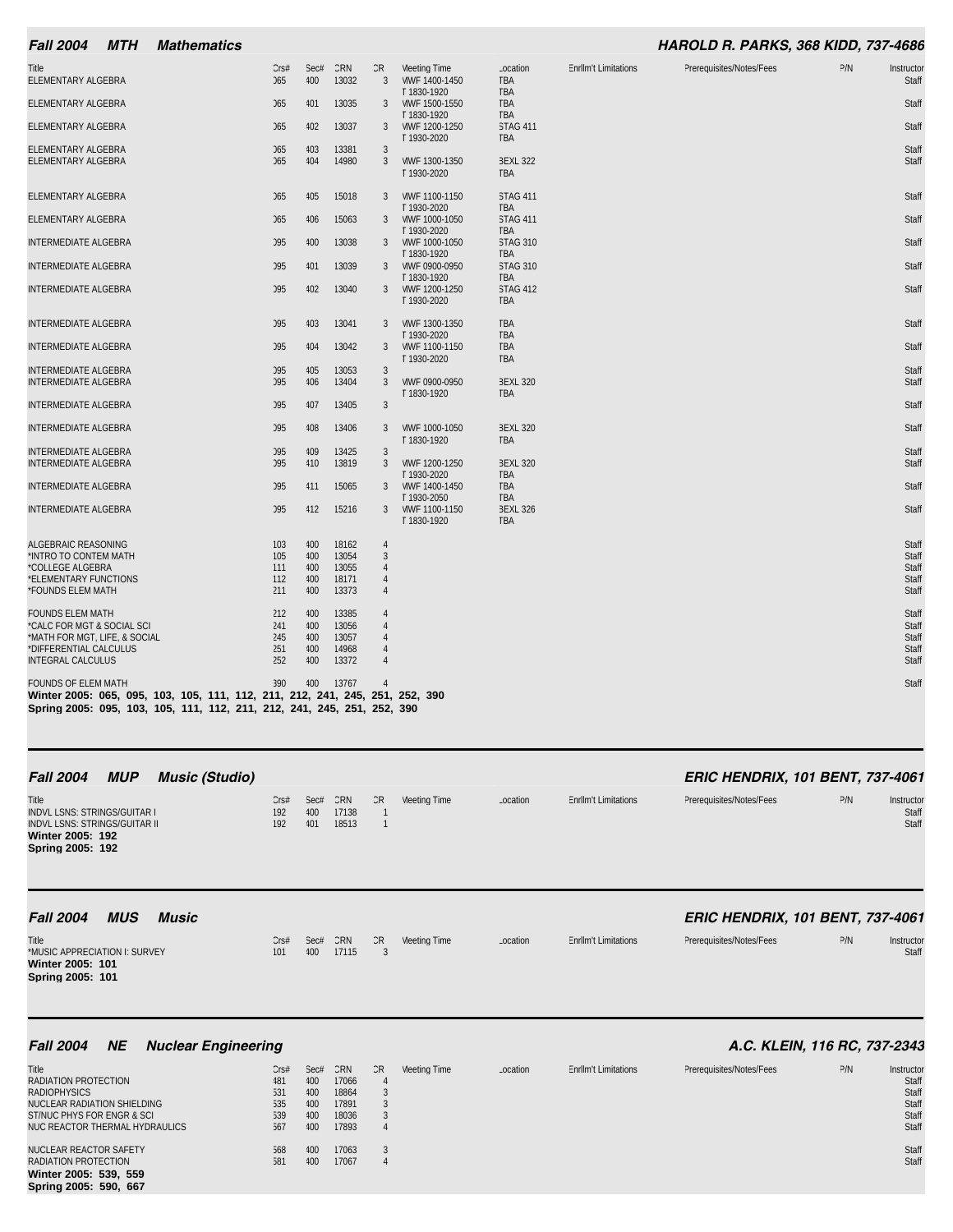| <b>Fall 2004</b><br><b>MTH</b>                                                                                                                                                        | <b>Mathematics</b> |                                |             |                |                                  |                                             |                                             |                             | <b>HAROLD R. PARKS, 368 KIDD, 737-4686</b> |     |                     |
|---------------------------------------------------------------------------------------------------------------------------------------------------------------------------------------|--------------------|--------------------------------|-------------|----------------|----------------------------------|---------------------------------------------|---------------------------------------------|-----------------------------|--------------------------------------------|-----|---------------------|
| <b>Title</b><br>ELEMENTARY ALGEBRA                                                                                                                                                    |                    | Cr <sub>5#</sub><br><b>COL</b> | Sec#<br>400 | CRN<br>13032   | CR<br>3                          | Meeting Time<br>MWF 1400-1450               | Location<br><b>TBA</b>                      | <b>Enrllm't Limitations</b> | Prerequisites/Notes/Fees                   | P/N | Instructor<br>Staff |
| ELEMENTARY ALGEBRA                                                                                                                                                                    |                    | <b>COL</b>                     | 401         | 13035          | 3                                | T 1830-1920<br>MWF 1500-1550                | <b>TBA</b><br><b>TBA</b>                    |                             |                                            |     | Staff               |
| <b>ELEMENTARY ALGEBRA</b>                                                                                                                                                             |                    | 365                            | 402         | 13037          | 3                                | T 1830-1920<br>MWF 1200-1250<br>T 1930-2020 | <b>TBA</b><br><b>STAG 411</b><br><b>TBA</b> |                             |                                            |     | Staff               |
| ELEMENTARY ALGEBRA<br>ELEMENTARY ALGEBRA                                                                                                                                              |                    | 365<br><b>COL</b>              | 403<br>404  | 13381<br>14980 | 3<br>3                           | MWF 1300-1350<br>T 1930-2020                | <b>BEXL 322</b><br><b>TBA</b>               |                             |                                            |     | Staff<br>Staff      |
| ELEMENTARY ALGEBRA                                                                                                                                                                    |                    | 365                            | 405         | 15018          | 3                                | MWF 1100-1150                               | <b>STAG 411</b>                             |                             |                                            |     | Staff               |
| ELEMENTARY ALGEBRA                                                                                                                                                                    |                    | <b>J65</b>                     | 406         | 15063          | 3                                | T 1930-2020<br>MWF 1000-1050                | <b>TBA</b><br><b>STAG 411</b>               |                             |                                            |     | Staff               |
| INTERMEDIATE ALGEBRA                                                                                                                                                                  |                    | <b>J95</b>                     | 400         | 13038          | 3                                | T 1930-2020<br>MWF 1000-1050                | <b>TBA</b><br><b>STAG 310</b>               |                             |                                            |     | Staff               |
| INTERMEDIATE ALGEBRA                                                                                                                                                                  |                    | <b>J95</b>                     | 401         | 13039          | 3                                | T 1830-1920<br>MWF 0900-0950                | <b>TBA</b><br><b>STAG 310</b>               |                             |                                            |     | Staff               |
| INTERMEDIATE ALGEBRA                                                                                                                                                                  |                    | <b>J95</b>                     | 402         | 13040          | 3                                | T 1830-1920<br>MWF 1200-1250<br>T 1930-2020 | <b>TBA</b><br><b>STAG 412</b><br><b>TBA</b> |                             |                                            |     | Staff               |
| <b>INTERMEDIATE ALGEBRA</b>                                                                                                                                                           |                    | <b>J95</b>                     | 403         | 13041          | 3                                | MWF 1300-1350                               | <b>TBA</b>                                  |                             |                                            |     | Staff               |
| INTERMEDIATE ALGEBRA                                                                                                                                                                  |                    | <b>J95</b>                     | 404         | 13042          | 3                                | T 1930-2020<br>MWF 1100-1150                | <b>TBA</b><br><b>TBA</b><br><b>TBA</b>      |                             |                                            |     | Staff               |
| <b>INTERMEDIATE ALGEBRA</b>                                                                                                                                                           |                    | <b>J95</b>                     | 405         | 13053          | 3                                | T 1930-2020                                 |                                             |                             |                                            |     | Staff               |
| <b>INTERMEDIATE ALGEBRA</b>                                                                                                                                                           |                    | <b>J95</b>                     | 406         | 13404          | 3                                | MWF 0900-0950<br>T 1830-1920                | <b>BEXL 320</b><br>TBA                      |                             |                                            |     | Staff               |
| <b>INTERMEDIATE ALGEBRA</b>                                                                                                                                                           |                    | <b>J95</b>                     | 407         | 13405          | 3                                |                                             |                                             |                             |                                            |     | Staff               |
| INTERMEDIATE ALGEBRA                                                                                                                                                                  |                    | <b>J95</b>                     | 408         | 13406          | 3                                | MWF 1000-1050<br>T 1830-1920                | <b>BEXL 320</b><br><b>TBA</b>               |                             |                                            |     | Staff               |
| <b>INTERMEDIATE ALGEBRA</b>                                                                                                                                                           |                    | <b>J95</b>                     | 409         | 13425          | $\mathbf{3}$                     |                                             |                                             |                             |                                            |     | Staff               |
| <b>INTERMEDIATE ALGEBRA</b>                                                                                                                                                           |                    | <b>J95</b>                     | 410         | 13819          | 3                                | MWF 1200-1250<br>T 1930-2020                | <b>BEXL 320</b><br><b>TBA</b>               |                             |                                            |     | Staff               |
| <b>INTERMEDIATE ALGEBRA</b>                                                                                                                                                           |                    | <b>J95</b>                     | 411         | 15065          | 3                                | MWF 1400-1450<br>T 1930-2050                | <b>TBA</b><br><b>TBA</b>                    |                             |                                            |     | Staff               |
| <b>INTERMEDIATE ALGEBRA</b>                                                                                                                                                           |                    | <b>J95</b>                     | 412         | 15216          | 3                                | MWF 1100-1150<br>T 1830-1920                | <b>BEXL 326</b><br><b>TBA</b>               |                             |                                            |     | Staff               |
| ALGEBRAIC REASONING                                                                                                                                                                   |                    | 103                            | 400         | 18162          | $\overline{4}$                   |                                             |                                             |                             |                                            |     | Staff               |
| *INTRO TO CONTEM MATH                                                                                                                                                                 |                    | 105                            | 400         | 13054          | $\mathbf{3}$                     |                                             |                                             |                             |                                            |     | Staff               |
| *COLLEGE ALGEBRA<br>*ELEMENTARY FUNCTIONS                                                                                                                                             |                    | 111<br>112                     | 400<br>400  | 13055<br>18171 | $\overline{4}$<br>$\overline{4}$ |                                             |                                             |                             |                                            |     | Staff<br>Staff      |
| *FOUNDS ELEM MATH                                                                                                                                                                     |                    | 211                            | 400         | 13373          | $\overline{4}$                   |                                             |                                             |                             |                                            |     | Staff               |
| <b>FOUNDS ELEM MATH</b>                                                                                                                                                               |                    | 212                            | 400         | 13385          | $\overline{4}$                   |                                             |                                             |                             |                                            |     | Staff               |
| *CALC FOR MGT & SOCIAL SCI<br>*MATH FOR MGT, LIFE, & SOCIAL                                                                                                                           |                    | 241<br>245                     | 400<br>400  | 13056          | $\boldsymbol{\varLambda}$        |                                             |                                             |                             |                                            |     | Staff<br>Staff      |
| *DIFFERENTIAL CALCULUS                                                                                                                                                                |                    | 251                            | 400         | 13057<br>14968 | 4<br>$\overline{4}$              |                                             |                                             |                             |                                            |     | Staff               |
| <b>INTEGRAL CALCULUS</b>                                                                                                                                                              |                    | 252                            | 400         | 13372          | $\overline{4}$                   |                                             |                                             |                             |                                            |     | Staff               |
| <b>FOUNDS OF ELEM MATH</b><br>Winter 2005: 065, 095, 103, 105, 111, 112, 211, 212, 241, 245, 251, 252, 390<br>Spring 2005: 095, 103, 105, 111, 112, 211, 212, 241, 245, 251, 252, 390 |                    | 390                            | 400         | 13767          |                                  |                                             |                                             |                             |                                            |     | Staff               |

| <b>Fall 2004</b>                                                                                                             | <b>MUP</b> | <b>Music (Studio)</b> |                                |                    |                       |     |              |          |                             | <b>ERIC HENDRIX, 101 BENT, 737-4061</b> |     |                              |
|------------------------------------------------------------------------------------------------------------------------------|------------|-----------------------|--------------------------------|--------------------|-----------------------|-----|--------------|----------|-----------------------------|-----------------------------------------|-----|------------------------------|
| <b>Title</b><br>INDVL LSNS: STRINGS/GUITAR I<br>INDVL LSNS: STRINGS/GUITAR II<br><b>Winter 2005: 192</b><br>Spring 2005: 192 |            |                       | Cr <sub>5#</sub><br>192<br>192 | Sec#<br>400<br>401 | CRN<br>17138<br>18513 | CR. | Meeting Time | Location | <b>Enrllm't Limitations</b> | Prerequisites/Notes/Fees                | P/N | Instructor<br>Staff<br>Staff |
| <b>Fall 2004</b>                                                                                                             | <b>MUS</b> | <b>Music</b>          |                                |                    |                       |     |              |          |                             | <b>ERIC HENDRIX, 101 BENT, 737-4061</b> |     |                              |

| <b>Title</b><br>*MUSIC APPRECIATION I: SURVEY | Cr <sub>5#</sub><br>101 | Sec#<br>400 | CRN<br>17115 | CR. | Meeting Time | Location | <b>Enrllm't Limitations</b> | Prerequisites/Notes/Fees | P/N | Instructor<br><b>Staff</b> |
|-----------------------------------------------|-------------------------|-------------|--------------|-----|--------------|----------|-----------------------------|--------------------------|-----|----------------------------|
| Winter 2005: 101                              |                         |             |              |     |              |          |                             |                          |     |                            |
| Spring 2005: 101                              |                         |             |              |     |              |          |                             |                          |     |                            |
|                                               |                         |             |              |     |              |          |                             |                          |     |                            |

| <b>NE</b><br><b>Fall 2004</b><br><b>Nuclear Engineering</b>                                                                                         |                                                     |                                         |                                                  |          |              |          |                             | A.C. KLEIN, 116 RC, 737-2343 |     |                                                         |
|-----------------------------------------------------------------------------------------------------------------------------------------------------|-----------------------------------------------------|-----------------------------------------|--------------------------------------------------|----------|--------------|----------|-----------------------------|------------------------------|-----|---------------------------------------------------------|
| Title<br>RADIATION PROTECTION<br><b>RADIOPHYSICS</b><br>NUCLEAR RADIATION SHIELDING<br>ST/NUC PHYS FOR ENGR & SCI<br>NUC REACTOR THERMAL HYDRAULICS | Cr <sub>5#</sub><br>481<br>531<br>535<br>539<br>567 | Sec#<br>400<br>400<br>400<br>400<br>400 | CRN<br>17066<br>18864<br>17891<br>18036<br>17893 | CR.<br>4 | Meeting Time | Location | <b>EnrlIm't Limitations</b> | Prerequisites/Notes/Fees     | P/N | Instructor<br>Staff<br>Staff<br>Staff<br>Staff<br>Staff |
| NUCLEAR REACTOR SAFETY<br>RADIATION PROTECTION<br>Winter 2005: 539, 559<br>Spring 2005: 590, 667                                                    | 568<br>581                                          | 400<br>400                              | 17063<br>17067                                   |          |              |          |                             |                              |     | Staff<br>Staff                                          |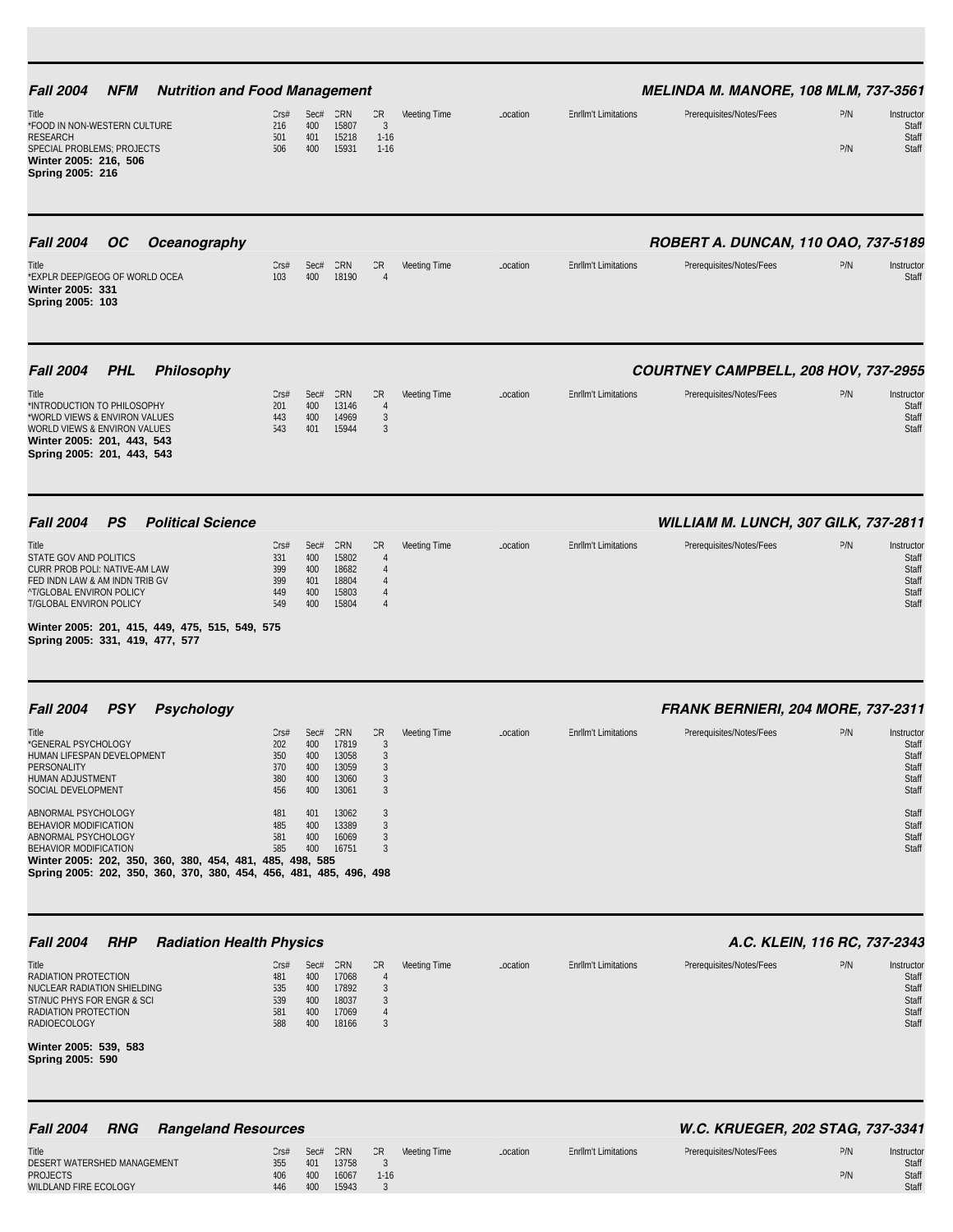| <b>NFM</b><br><b>Nutrition and Food Management</b><br><b>Fall 2004</b>                                                                                                                                                                                                                                                                                                                                       |                                                                                 |                                                                     |                                                                                      |                                                                                              |              |          |                             | <b>MELINDA M. MANORE, 108 MLM, 737-3561</b>                      |            |                                                                                             |
|--------------------------------------------------------------------------------------------------------------------------------------------------------------------------------------------------------------------------------------------------------------------------------------------------------------------------------------------------------------------------------------------------------------|---------------------------------------------------------------------------------|---------------------------------------------------------------------|--------------------------------------------------------------------------------------|----------------------------------------------------------------------------------------------|--------------|----------|-----------------------------|------------------------------------------------------------------|------------|---------------------------------------------------------------------------------------------|
| Title<br>*FOOD IN NON-WESTERN CULTURE<br><b>RESEARCH</b><br>SPECIAL PROBLEMS; PROJECTS<br>Winter 2005: 216, 506<br>Spring 2005: 216                                                                                                                                                                                                                                                                          | Crs#<br>216<br>501<br>506                                                       | Sec#<br>400<br>401<br>400                                           | CRN<br>15807<br>15218<br>15931                                                       | CR<br>$\mathbf{3}$<br>$1-16$<br>$1-16$                                                       | Meeting Time | Location | <b>Enrllm't Limitations</b> | Prerequisites/Notes/Fees                                         | P/N<br>P/N | Instructor<br>Staff<br>Staff<br>Staff                                                       |
| <b>Fall 2004</b><br><b>OC</b><br><b>Oceanography</b><br>Title<br>*EXPLR DEEP/GEOG OF WORLD OCEA<br>Winter 2005: 331<br>Spring 2005: 103                                                                                                                                                                                                                                                                      | Crs#<br>103                                                                     | Sec#<br>400                                                         | CRN<br>18190                                                                         | CR<br>$\overline{4}$                                                                         | Meeting Time | Location | <b>Enrllm't Limitations</b> | ROBERT A. DUNCAN, 110 OAO, 737-5189<br>Prerequisites/Notes/Fees  | P/N        | Instructor<br>Staff                                                                         |
| <b>Fall 2004</b><br><b>PHL</b><br><b>Philosophy</b><br>Title<br>*INTRODUCTION TO PHILOSOPHY<br>*WORLD VIEWS & ENVIRON VALUES<br>WORLD VIEWS & ENVIRON VALUES<br>Winter 2005: 201, 443, 543<br>Spring 2005: 201, 443, 543                                                                                                                                                                                     | Cr <sub>5#</sub><br>201<br>443<br>543                                           | Sec#<br>400<br>400<br>401                                           | CRN<br>13146<br>14969<br>15944                                                       | CR<br>$\overline{4}$<br>$\mathfrak{Z}$<br>3                                                  | Meeting Time | Location | <b>Enrllm't Limitations</b> | COURTNEY CAMPBELL, 208 HOV, 737-2955<br>Prerequisites/Notes/Fees | P/N        | Instructor<br>Staff<br>Staff<br>Staff                                                       |
| <b>Political Science</b><br><b>Fall 2004</b><br>PS<br>Title<br>STATE GOV AND POLITICS<br>CURR PROB POLI: NATIVE-AM LAW<br>FED INDN LAW & AM INDN TRIB GV<br><b>^T/GLOBAL ENVIRON POLICY</b><br>T/GLOBAL ENVIRON POLICY<br>Winter 2005: 201, 415, 449, 475, 515, 549, 575<br>Spring 2005: 331, 419, 477, 577                                                                                                  | Cr <sub>5#</sub><br>331<br>399<br>399<br>449<br>549                             | Sec#<br>400<br>400<br>401<br>400<br>400                             | CRN<br>15802<br>18682<br>18804<br>15803<br>15804                                     | CR<br>$\overline{4}$<br>$\overline{4}$<br>$\overline{4}$<br>$\overline{4}$<br>$\overline{4}$ | Meeting Time | Location | <b>Enrllm't Limitations</b> | WILLIAM M. LUNCH, 307 GILK, 737-2811<br>Prerequisites/Notes/Fees | P/N        | Instructor<br>Staff<br>Staff<br>Staff<br>Staff<br>Staff                                     |
| <b>PSY</b><br><b>Psychology</b><br><b>Fall 2004</b><br>Title<br>*GENERAL PSYCHOLOGY<br>HUMAN LIFESPAN DEVELOPMENT<br>PERSONALITY<br>HUMAN ADJUSTMENT<br>SOCIAL DEVELOPMENT<br>ABNORMAL PSYCHOLOGY<br>BEHAVIOR MODIFICATION<br>ABNORMAL PSYCHOLOGY<br>BEHAVIOR MODIFICATION<br>Winter 2005: 202, 350, 360, 380, 454, 481, 485, 498, 585<br>Spring 2005: 202, 350, 360, 370, 380, 454, 456, 481, 485, 496, 498 | Cr <sub>5#</sub><br>202<br>350<br>370<br>380<br>456<br>481<br>485<br>581<br>585 | Sec#<br>400<br>400<br>400<br>400<br>400<br>401<br>400<br>400<br>400 | CRN<br>17819<br>13058<br>13059<br>13060<br>13061<br>13062<br>13389<br>16069<br>16751 | CR.<br>3<br>3<br>3<br>3<br>$\mathfrak{Z}$<br>3<br>3<br>3<br>3                                | Meeting Time | Location | <b>Enrllm't Limitations</b> | FRANK BERNIERI, 204 MORE, 737-2311<br>Prerequisites/Notes/Fees   | P/N        | Instructor<br>Staff<br>Staff<br>Staff<br>Staff<br>Staff<br>Staff<br>Staff<br>Staff<br>Staff |
| <b>Fall 2004</b><br><b>RHP</b><br><b>Radiation Health Physics</b><br>Title<br>RADIATION PROTECTION<br>NUCLEAR RADIATION SHIELDING<br>ST/NUC PHYS FOR ENGR & SCI<br>RADIATION PROTECTION<br><b>RADIOECOLOGY</b><br>Winter 2005: 539, 583<br>Spring 2005: 590                                                                                                                                                  | Cr <sub>5#</sub><br>481<br>535<br>539<br>581<br>588                             | Sec#<br>400<br>400<br>400<br>400<br>400                             | CRN<br>17068<br>17892<br>18037<br>17069<br>18166                                     | CR<br>$\overline{4}$<br>3<br>3<br>4<br>3                                                     | Meeting Time | Location | <b>EnrlIm't Limitations</b> | A.C. KLEIN, 116 RC, 737-2343<br>Prerequisites/Notes/Fees         | P/N        | Instructor<br>Staff<br>Staff<br>Staff<br>Staff<br>Staff                                     |
| <b>Fall 2004</b><br><b>RNG</b><br><b>Rangeland Resources</b><br>Title<br>DESERT WATERSHED MANAGEMENT<br><b>PROJECTS</b><br>WILDLAND FIRE ECOLOGY                                                                                                                                                                                                                                                             | Crs#<br>355<br>406<br>446                                                       | Sec#<br>401<br>400<br>400                                           | CRN<br>13758<br>16067<br>15943                                                       | CR<br>$\overline{3}$<br>$1 - 16$<br>3                                                        | Meeting Time | Location | <b>EnrlIm't Limitations</b> | W.C. KRUEGER, 202 STAG, 737-3341<br>Prerequisites/Notes/Fees     | P/N<br>P/N | Instructor<br>Staff<br>Staff<br>Staff                                                       |